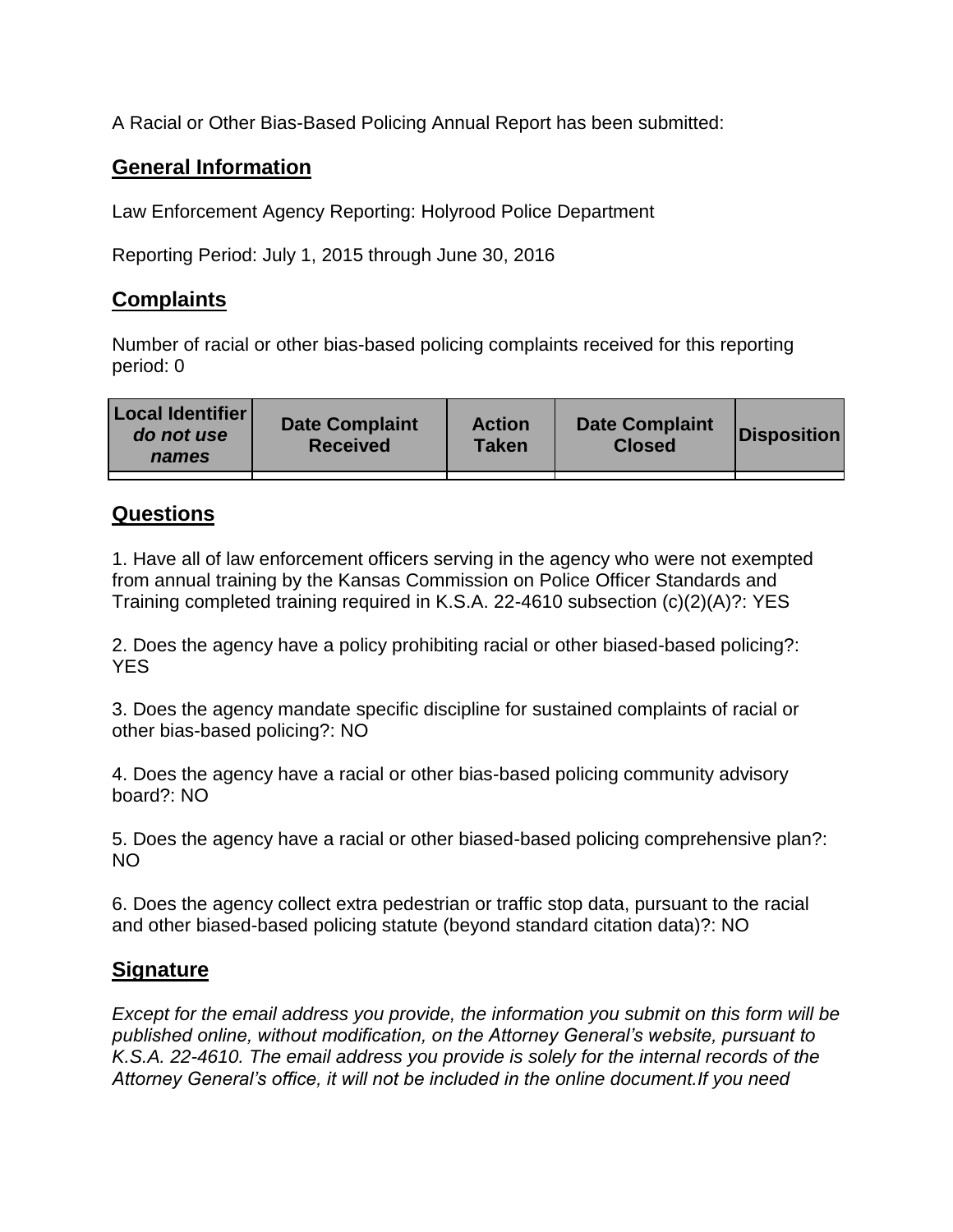A Racial or Other Bias-Based Policing Annual Report has been submitted:

## **General Information**

Law Enforcement Agency Reporting: Holyrood Police Department

Reporting Period: July 1, 2015 through June 30, 2016

## **Complaints**

Number of racial or other bias-based policing complaints received for this reporting period: 0

| <b>Local Identifier</b><br>do not use<br>names | <b>Date Complaint</b><br><b>Received</b> | <b>Action</b><br><b>Taken</b> | <b>Date Complaint</b><br><b>Closed</b> | Disposition |
|------------------------------------------------|------------------------------------------|-------------------------------|----------------------------------------|-------------|
|                                                |                                          |                               |                                        |             |

## **Questions**

1. Have all of law enforcement officers serving in the agency who were not exempted from annual training by the Kansas Commission on Police Officer Standards and Training completed training required in K.S.A. 22-4610 subsection (c)(2)(A)?: YES

2. Does the agency have a policy prohibiting racial or other biased-based policing?: YES

3. Does the agency mandate specific discipline for sustained complaints of racial or other bias-based policing?: NO

4. Does the agency have a racial or other bias-based policing community advisory board?: NO

5. Does the agency have a racial or other biased-based policing comprehensive plan?: NO

6. Does the agency collect extra pedestrian or traffic stop data, pursuant to the racial and other biased-based policing statute (beyond standard citation data)?: NO

## **Signature**

*Except for the email address you provide, the information you submit on this form will be published online, without modification, on the Attorney General's website, pursuant to K.S.A. 22-4610. The email address you provide is solely for the internal records of the Attorney General's office, it will not be included in the online document.If you need*